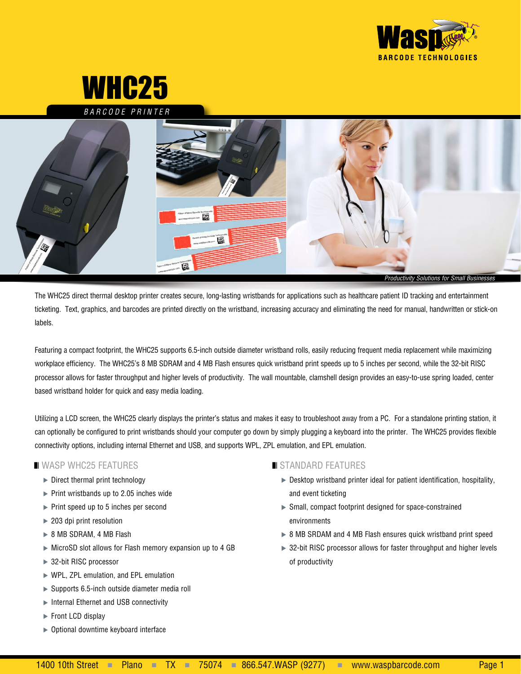

# WHC25

*BARCODE PRINTER*



The WHC25 direct thermal desktop printer creates secure, long-lasting wristbands for applications such as healthcare patient ID tracking and entertainment ticketing. Text, graphics, and barcodes are printed directly on the wristband, increasing accuracy and eliminating the need for manual, handwritten or stick-on labels.

Featuring a compact footprint, the WHC25 supports 6.5-inch outside diameter wristband rolls, easily reducing frequent media replacement while maximizing workplace efficiency. The WHC25's 8 MB SDRAM and 4 MB Flash ensures quick wristband print speeds up to 5 inches per second, while the 32-bit RISC processor allows for faster throughput and higher levels of productivity. The wall mountable, clamshell design provides an easy-to-use spring loaded, center based wristband holder for quick and easy media loading.

Utilizing a LCD screen, the WHC25 clearly displays the printer's status and makes it easy to troubleshoot away from a PC. For a standalone printing station, it can optionally be configured to print wristbands should your computer go down by simply plugging a keyboard into the printer. The WHC25 provides flexible connectivity options, including internal Ethernet and USB, and supports WPL, ZPL emulation, and EPL emulation.

#### $\blacksquare$  WASP WHC25 FEATURES

- $\triangleright$  Direct thermal print technology
- $\triangleright$  Print wristbands up to 2.05 inches wide
- $\triangleright$  Print speed up to 5 inches per second
- ▶ 203 dpi print resolution
- ▶ 8 MB SDRAM, 4 MB Flash
- MicroSD slot allows for Flash memory expansion up to 4 GB
- ▶ 32-bit RISC processor
- ▶ WPL, ZPL emulation, and EPL emulation
- $\triangleright$  Supports 6.5-inch outside diameter media roll
- ▶ Internal Ethernet and USB connectivity
- Front LCD display
- ▶ Optional downtime keyboard interface

## $\blacksquare$  STANDARD FEATURES

- Desktop wristband printer ideal for patient identification, hospitality, and event ticketing
- Small, compact footprint designed for space-constrained environments
- ▶ 8 MB SRDAM and 4 MB Flash ensures quick wristband print speed
- ▶ 32-bit RISC processor allows for faster throughput and higher levels of productivity